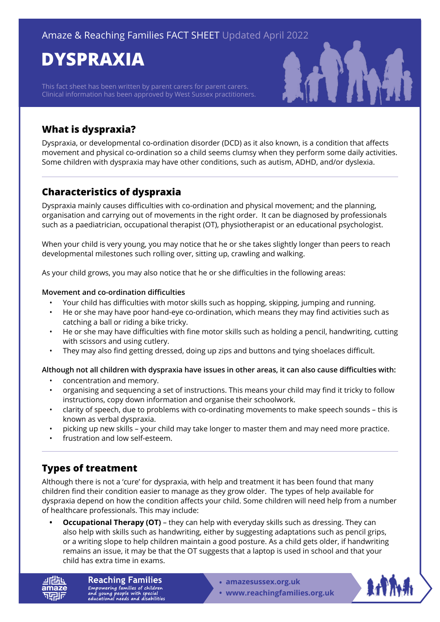# **DYSPRAXIA**

This fact sheet has been written by parent carers for parent carers. Clinical information has been approved by West Sussex practitioners.



# **What is dyspraxia?**

Dyspraxia, or developmental co-ordination disorder (DCD) as it also known, is a condition that affects movement and physical co-ordination so a child seems clumsy when they perform some daily activities. Some children with dyspraxia may have other conditions, such as autism, ADHD, and/or dyslexia.

## **Characteristics of dyspraxia**

Dyspraxia mainly causes difficulties with co-ordination and physical movement; and the planning, organisation and carrying out of movements in the right order. It can be diagnosed by professionals such as a paediatrician, occupational therapist (OT), physiotherapist or an educational psychologist.

When your child is very young, you may notice that he or she takes slightly longer than peers to reach developmental milestones such rolling over, sitting up, crawling and walking.

As your child grows, you may also notice that he or she difficulties in the following areas:

#### **Movement and co-ordination difficulties**

- Your child has difficulties with motor skills such as hopping, skipping, jumping and running.
- He or she may have poor hand-eye co-ordination, which means they may find activities such as catching a ball or riding a bike tricky.
- He or she may have difficulties with fine motor skills such as holding a pencil, handwriting, cutting with scissors and using cutlery.
- They may also find getting dressed, doing up zips and buttons and tying shoelaces difficult.

#### **Although not all children with dyspraxia have issues in other areas, it can also cause difficulties with:**

- concentration and memory.
- organising and sequencing a set of instructions. This means your child may find it tricky to follow instructions, copy down information and organise their schoolwork.
- clarity of speech, due to problems with co-ordinating movements to make speech sounds this is known as verbal dyspraxia.
- picking up new skills your child may take longer to master them and may need more practice.
- frustration and low self-esteem.

# **Types of treatment**

Although there is not a 'cure' for dyspraxia, with help and treatment it has been found that many children find their condition easier to manage as they grow older. The types of help available for dyspraxia depend on how the condition affects your child. Some children will need help from a number of healthcare professionals. This may include:

**• Occupational Therapy (OT)** – they can help with everyday skills such as dressing. They can also help with skills such as handwriting, either by suggesting adaptations such as pencil grips, or a writing slope to help children maintain a good posture. As a child gets older, if handwriting remains an issue, it may be that the OT suggests that a laptop is used in school and that your child has extra time in exams.

**Reaching Families** Empowering families of children<br>and young people with special<br>educational needs and disabilities

- **• [amazesussex.org.uk](https://amazesussex.org.uk)**
- **[www.reachingfamilies.org.uk](https://www.reachingfamilies.org.uk)**